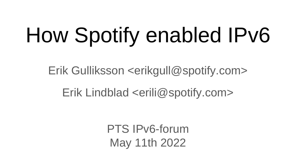# How Spotify enabled IPv6

Erik Gulliksson <erikgull@spotify.com>

### Erik Lindblad <erili@spotify.com>

PTS IPv6-forum May 11th 2022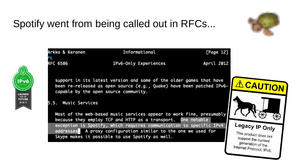### Spotify went from being called out in RFCs...

**LAUNCH** INTO THE **FUTURE** 

06.06.12



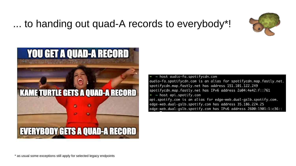#### ... to handing out quad-A records to everybody\*!





 $\sim$  host audio-fa.spotifycdn.com audio-fa.spotifycdn.com is an alias for spotifycdn.map.fastly.net. spotifycdn.map.fastly.net has address 151.101.122.249 spotifycdn.map.fastly.net has IPv6 address 2a04:4e42:f::761  $\sim$  host api.spotify.com api.spotify.com is an alias for edge-web.dual-gslb.spotify.com. edge-web.dual-gslb.spotify.com has address 35.186.224.25 edge-web.dual-gslb.spotify.com has IPv6 address 2600:1901:1:c36::

\* as usual some exceptions still apply for selected legacy endpoints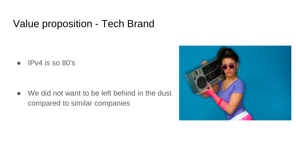#### Value proposition - Tech Brand

 $\bullet$  IPv4 is so 80's

● We did not want to be left behind in the dust compared to similar companies

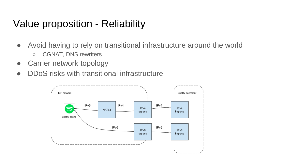#### Value proposition - Reliability

- Avoid having to rely on transitional infrastructure around the world
	- CGNAT, DNS rewriters
- Carrier network topology
- DDoS risks with transitional infrastructure

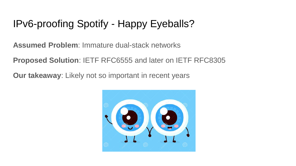#### IPv6-proofing Spotify - Happy Eyeballs?

**Assumed Problem**: Immature dual-stack networks

**Proposed Solution**: IETF RFC6555 and later on IETF RFC8305

**Our takeaway**: Likely not so important in recent years

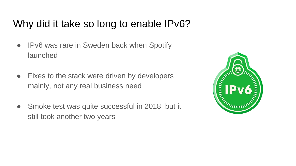#### Why did it take so long to enable IPv6?

- IPv6 was rare in Sweden back when Spotify launched
- Fixes to the stack were driven by developers mainly, not any real business need
- Smoke test was quite successful in 2018, but it still took another two years

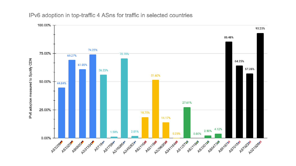#### IPv6 adoption in top-traffic 4 ASns for traffic in selected countries

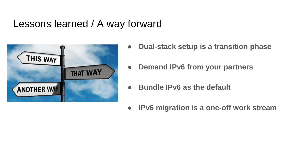#### Lessons learned / A way forward



- **Dual-stack setup is a transition phase**
- **Demand IPv6 from your partners**
- **Bundle IPv6 as the default**
- **IPv6 migration is a one-off work stream**